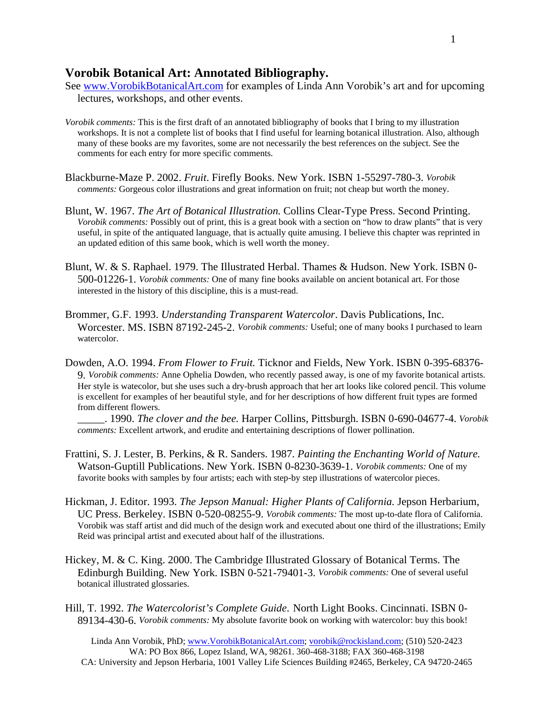## **Vorobik Botanical Art: Annotated Bibliography.**

- See [www.VorobikBotanicalArt.com](http://www.vorobikbotanicalart.com/) for examples of Linda Ann Vorobik's art and for upcoming lectures, workshops, and other events.
- *Vorobik comments:* This is the first draft of an annotated bibliography of books that I bring to my illustration workshops. It is not a complete list of books that I find useful for learning botanical illustration. Also, although many of these books are my favorites, some are not necessarily the best references on the subject. See the comments for each entry for more specific comments.
- Blackburne-Maze P. 2002. *Fruit*. Firefly Books. New York. ISBN 1-55297-780-3. *Vorobik comments:* Gorgeous color illustrations and great information on fruit; not cheap but worth the money.
- Blunt, W. 1967. *The Art of Botanical Illustration.* Collins Clear-Type Press. Second Printing. *Vorobik comments:* Possibly out of print, this is a great book with a section on "how to draw plants" that is very useful, in spite of the antiquated language, that is actually quite amusing. I believe this chapter was reprinted in an updated edition of this same book, which is well worth the money.
- Blunt, W. & S. Raphael. 1979. The Illustrated Herbal. Thames & Hudson. New York. ISBN 0- 500-01226-1. *Vorobik comments:* One of many fine books available on ancient botanical art. For those interested in the history of this discipline, this is a must-read.
- Brommer, G.F. 1993. *Understanding Transparent Watercolor*. Davis Publications, Inc. Worcester. MS. ISBN 87192-245-2. *Vorobik comments:* Useful; one of many books I purchased to learn watercolor.
- Dowden, A.O. 1994. *From Flower to Fruit.* Ticknor and Fields, New York. ISBN 0-395-68376- 9. *Vorobik comments:* Anne Ophelia Dowden, who recently passed away, is one of my favorite botanical artists. Her style is watecolor, but she uses such a dry-brush approach that her art looks like colored pencil. This volume is excellent for examples of her beautiful style, and for her descriptions of how different fruit types are formed from different flowers.

 \_\_\_\_\_. 1990. *The clover and the bee.* Harper Collins, Pittsburgh. ISBN 0-690-04677-4. *Vorobik comments:* Excellent artwork, and erudite and entertaining descriptions of flower pollination.

- Frattini, S. J. Lester, B. Perkins, & R. Sanders. 1987. *Painting the Enchanting World of Nature.* Watson-Guptill Publications. New York. ISBN 0-8230-3639-1. *Vorobik comments:* One of my favorite books with samples by four artists; each with step-by step illustrations of watercolor pieces.
- Hickman, J. Editor. 1993. *The Jepson Manual: Higher Plants of California.* Jepson Herbarium, UC Press. Berkeley. ISBN 0-520-08255-9. *Vorobik comments:* The most up-to-date flora of California. Vorobik was staff artist and did much of the design work and executed about one third of the illustrations; Emily Reid was principal artist and executed about half of the illustrations.
- Hickey, M. & C. King. 2000. The Cambridge Illustrated Glossary of Botanical Terms. The Edinburgh Building. New York. ISBN 0-521-79401-3. *Vorobik comments:* One of several useful botanical illustrated glossaries.
- Hill, T. 1992. *The Watercolorist's Complete Guide*. North Light Books. Cincinnati. ISBN 0- 89134-430-6. *Vorobik comments:* My absolute favorite book on working with watercolor: buy this book!

Linda Ann Vorobik, PhD; www.VorobikBotanicalArt.com; vorobik@rockisland.com; (510) 520-2423 WA: PO Box 866, Lopez Island, WA, 98261. 360-468-3188; FAX 360-468-3198 CA: University and Jepson Herbaria, 1001 Valley Life Sciences Building #2465, Berkeley, CA 94720-2465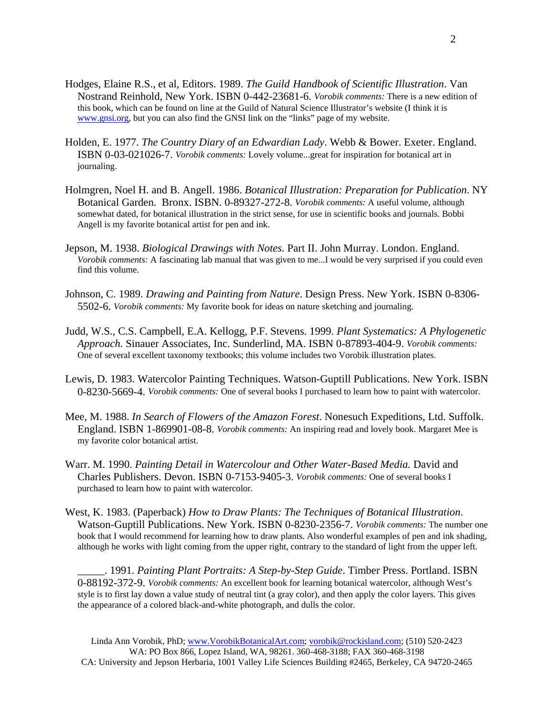- Hodges, Elaine R.S., et al, Editors. 1989. *The Guild Handbook of Scientific Illustration*. Van Nostrand Reinhold, New York. ISBN 0-442-23681-6. *Vorobik comments:* There is a new edition of this book, which can be found on line at the Guild of Natural Science Illustrator's website (I think it is [www.gnsi.org](http://www.gnsi.org/), but you can also find the GNSI link on the "links" page of my website.
- Holden, E. 1977. *The Country Diary of an Edwardian Lady*. Webb & Bower. Exeter. England. ISBN 0-03-021026-7. *Vorobik comments:* Lovely volume...great for inspiration for botanical art in journaling.
- Holmgren, Noel H. and B. Angell. 1986. *Botanical Illustration: Preparation for Publication*. NY Botanical Garden. Bronx. ISBN. 0-89327-272-8. *Vorobik comments:* A useful volume, although somewhat dated, for botanical illustration in the strict sense, for use in scientific books and journals. Bobbi Angell is my favorite botanical artist for pen and ink.
- Jepson, M. 1938. *Biological Drawings with Notes.* Part II. John Murray. London. England. *Vorobik comments:* A fascinating lab manual that was given to me...I would be very surprised if you could even find this volume.
- Johnson, C. 1989. *Drawing and Painting from Nature*. Design Press. New York. ISBN 0-8306- 5502-6. *Vorobik comments:* My favorite book for ideas on nature sketching and journaling.
- Judd, W.S., C.S. Campbell, E.A. Kellogg, P.F. Stevens. 1999. *Plant Systematics: A Phylogenetic Approach*. Sinauer Associates, Inc. Sunderlind, MA. ISBN 0-87893-404-9. *Vorobik comments:*  One of several excellent taxonomy textbooks; this volume includes two Vorobik illustration plates.
- Lewis, D. 1983. Watercolor Painting Techniques. Watson-Guptill Publications. New York. ISBN 0-8230-5669-4. *Vorobik comments:* One of several books I purchased to learn how to paint with watercolor.
- Mee, M. 1988. *In Search of Flowers of the Amazon Forest*. Nonesuch Expeditions, Ltd. Suffolk. England. ISBN 1-869901-08-8. *Vorobik comments:* An inspiring read and lovely book. Margaret Mee is my favorite color botanical artist.
- Warr. M. 1990. *Painting Detail in Watercolour and Other Water-Based Media.* David and Charles Publishers. Devon. ISBN 0-7153-9405-3. *Vorobik comments:* One of several books I purchased to learn how to paint with watercolor.
- West, K. 1983. (Paperback) *How to Draw Plants: The Techniques of Botanical Illustration*. Watson-Guptill Publications. New York. ISBN 0-8230-2356-7. *Vorobik comments:* The number one book that I would recommend for learning how to draw plants. Also wonderful examples of pen and ink shading, although he works with light coming from the upper right, contrary to the standard of light from the upper left.

 \_\_\_\_\_. 1991. *Painting Plant Portraits: A Step-by-Step Guide*. Timber Press. Portland. ISBN 0-88192-372-9. *Vorobik comments:* An excellent book for learning botanical watercolor, although West's style is to first lay down a value study of neutral tint (a gray color), and then apply the color layers. This gives the appearance of a colored black-and-white photograph, and dulls the color.

Linda Ann Vorobik, PhD; www.VorobikBotanicalArt.com; vorobik@rockisland.com; (510) 520-2423 WA: PO Box 866, Lopez Island, WA, 98261. 360-468-3188; FAX 360-468-3198 CA: University and Jepson Herbaria, 1001 Valley Life Sciences Building #2465, Berkeley, CA 94720-2465